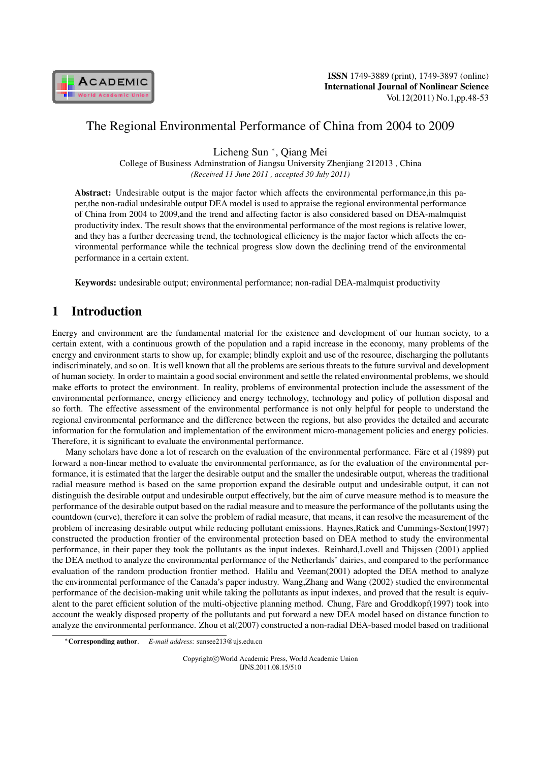

# The Regional Environmental Performance of China from 2004 to 2009

Licheng Sun *<sup>∗</sup>* , Qiang Mei

College of Business Adminstration of Jiangsu University Zhenjiang 212013 , China *(Received 11 June 2011 , accepted 30 July 2011)*

Abstract: Undesirable output is the major factor which affects the environmental performance,in this paper,the non-radial undesirable output DEA model is used to appraise the regional environmental performance of China from 2004 to 2009,and the trend and affecting factor is also considered based on DEA-malmquist productivity index. The result shows that the environmental performance of the most regions is relative lower, and they has a further decreasing trend, the technological efficiency is the major factor which affects the environmental performance while the technical progress slow down the declining trend of the environmental performance in a certain extent.

Keywords: undesirable output; environmental performance; non-radial DEA-malmquist productivity

# 1 Introduction

Energy and environment are the fundamental material for the existence and development of our human society, to a certain extent, with a continuous growth of the population and a rapid increase in the economy, many problems of the energy and environment starts to show up, for example; blindly exploit and use of the resource, discharging the pollutants indiscriminately, and so on. It is well known that all the problems are serious threats to the future survival and development of human society. In order to maintain a good social environment and settle the related environmental problems, we should make efforts to protect the environment. In reality, problems of environmental protection include the assessment of the environmental performance, energy efficiency and energy technology, technology and policy of pollution disposal and so forth. The effective assessment of the environmental performance is not only helpful for people to understand the regional environmental performance and the difference between the regions, but also provides the detailed and accurate information for the formulation and implementation of the environment micro-management policies and energy policies. Therefore, it is significant to evaluate the environmental performance.

Many scholars have done a lot of research on the evaluation of the environmental performance. Färe et al (1989) put forward a non-linear method to evaluate the environmental performance, as for the evaluation of the environmental performance, it is estimated that the larger the desirable output and the smaller the undesirable output, whereas the traditional radial measure method is based on the same proportion expand the desirable output and undesirable output, it can not distinguish the desirable output and undesirable output effectively, but the aim of curve measure method is to measure the performance of the desirable output based on the radial measure and to measure the performance of the pollutants using the countdown (curve), therefore it can solve the problem of radial measure, that means, it can resolve the measurement of the problem of increasing desirable output while reducing pollutant emissions. Haynes,Ratick and Cummings-Sexton(1997) constructed the production frontier of the environmental protection based on DEA method to study the environmental performance, in their paper they took the pollutants as the input indexes. Reinhard,Lovell and Thijssen (2001) applied the DEA method to analyze the environmental performance of the Netherlands' dairies, and compared to the performance evaluation of the random production frontier method. Halilu and Veeman(2001) adopted the DEA method to analyze the environmental performance of the Canada's paper industry. Wang,Zhang and Wang (2002) studied the environmental performance of the decision-making unit while taking the pollutants as input indexes, and proved that the result is equivalent to the paret efficient solution of the multi-objective planning method. Chung, Färe and Groddkopf(1997) took into account the weakly disposed property of the pollutants and put forward a new DEA model based on distance function to analyze the environmental performance. Zhou et al(2007) constructed a non-radial DEA-based model based on traditional

Copyright*⃝*c World Academic Press, World Academic Union IJNS.2011.08.15/510

*<sup>∗</sup>*Corresponding author. *E-mail address*: sunsee213@ujs.edu.cn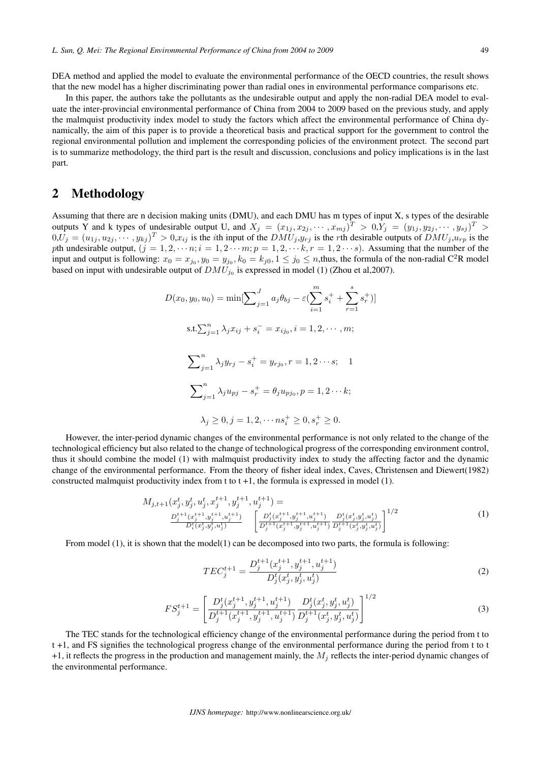DEA method and applied the model to evaluate the environmental performance of the OECD countries, the result shows that the new model has a higher discriminating power than radial ones in environmental performance comparisons etc.

In this paper, the authors take the pollutants as the undesirable output and apply the non-radial DEA model to evaluate the inter-provincial environmental performance of China from 2004 to 2009 based on the previous study, and apply the malmquist productivity index model to study the factors which affect the environmental performance of China dynamically, the aim of this paper is to provide a theoretical basis and practical support for the government to control the regional environmental pollution and implement the corresponding policies of the environment protect. The second part is to summarize methodology, the third part is the result and discussion, conclusions and policy implications is in the last part.

## 2 Methodology

Assuming that there are n decision making units (DMU), and each DMU has m types of input X, s types of the desirable outputs Y and k types of undesirable output U, and  $X_j = (x_{1j}, x_{2j}, \dots, x_{mj})^T > 0, Y_j = (y_{1j}, y_{2j}, \dots, y_{sj})^T >$  $(0, U_j = (u_{1j}, u_{2j}, \dots, y_{kj})^T > 0, x_{ij}$  is the *i*th input of the  $DMU_j, y_{rj}$  is the *r*th desirable outputs of  $DMU_j, u_{rp}$  is the pth undesirable output,  $(j = 1, 2, \dots, n; i = 1, 2 \dots, m; p = 1, 2, \dots, k; r = 1, 2 \dots, s)$ . Assuming that the number of the input and output is following:  $x_0 = x_{j_0}, y_0 = y_{j_0}, k_0 = k_{j_0}, 1 \le j_0 \le n$ , thus, the formula of the non-radial C<sup>2</sup>R model based on input with undesirable output of  $DMU_{j_0}$  is expressed in model (1) (Zhou et al,2007).

$$
D(x_0, y_0, u_0) = \min[\sum_{j=1}^J a_j \theta_{bj} - \varepsilon (\sum_{i=1}^m s_i^+ + \sum_{r=1}^s s_r^+ )]
$$
  
s.t.  $\sum_{j=1}^n \lambda_j x_{ij} + s_i^- = x_{ij_0}, i = 1, 2, \dots, m;$   

$$
\sum_{j=1}^n \lambda_j y_{rj} - s_i^+ = y_{rj_0}, r = 1, 2 \dots s;
$$
  

$$
\sum_{j=1}^n \lambda_j u_{pj} - s_r^+ = \theta_j u_{pj_0}, p = 1, 2 \dots k;
$$
  

$$
\lambda_j \ge 0, j = 1, 2, \dots n s_i^+ \ge 0, s_r^+ \ge 0.
$$

However, the inter-period dynamic changes of the environmental performance is not only related to the change of the technological efficiency but also related to the change of technological progress of the corresponding environment control, thus it should combine the model (1) with malmquist productivity index to study the affecting factor and the dynamic change of the environmental performance. From the theory of fisher ideal index, Caves, Christensen and Diewert(1982) constructed malmquist productivity index from t to  $t + 1$ , the formula is expressed in model  $(1)$ .

$$
M_{j,t+1}(x_j^t, y_j^t, u_j^t, x_j^{t+1}, y_j^{t+1}, u_j^{t+1}) = \n\frac{D_j^{t+1}(x_j^{t+1}, y_j^{t+1}, u_j^{t+1})}{D_i^t(x_j^t, y_j^t, u_j^t)} \n\begin{bmatrix}\n\frac{D_j^t(x_j^{t+1}, y_j^{t+1}, u_j^{t+1})}{D_j^{t+1}(x_j^{t+1}, y_j^{t+1}, u_j^{t+1})} \frac{D_j^t(x_j^t, y_j^t, u_j^t)}{D_j^{t+1}(x_j^t, y_j^t, u_j^t)}\n\end{bmatrix}^{1/2} \n\tag{1}
$$

From model  $(1)$ , it is shown that the model $(1)$  can be decomposed into two parts, the formula is following:

$$
TEC_j^{t+1} = \frac{D_j^{t+1}(x_j^{t+1}, y_j^{t+1}, u_j^{t+1})}{D_j^t(x_j^t, y_j^t, u_j^t)}
$$
(2)

$$
FS_j^{t+1} = \left[ \frac{D_j^t(x_j^{t+1}, y_j^{t+1}, u_j^{t+1})}{D_j^{t+1}(x_j^{t+1}, y_j^{t+1}, u_j^{t+1})} \frac{D_j^t(x_j^t, y_j^t, u_j^t)}{D_j^{t+1}(x_j^t, y_j^t, u_j^t)} \right]^{1/2}
$$
(3)

The TEC stands for the technological efficiency change of the environmental performance during the period from t to t +1, and FS signifies the technological progress change of the environmental performance during the period from t to t +1, it reflects the progress in the production and management mainly, the  $M_i$  reflects the inter-period dynamic changes of the environmental performance.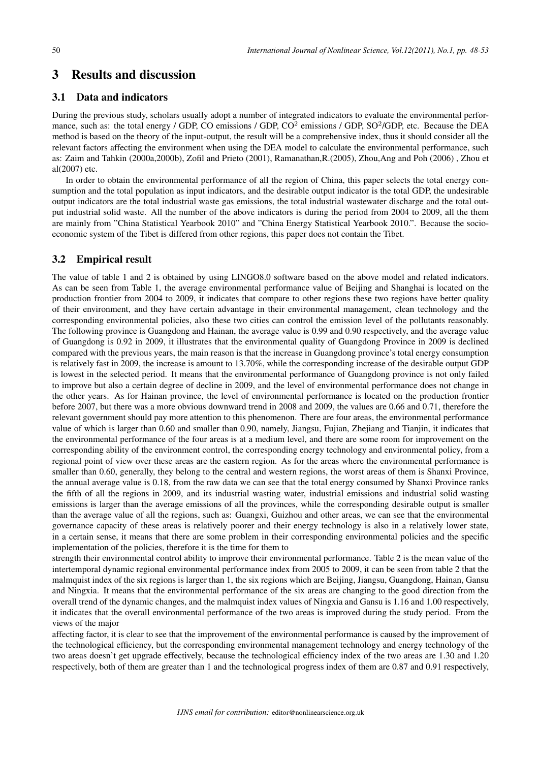### 3 Results and discussion

### 3.1 Data and indicators

During the previous study, scholars usually adopt a number of integrated indicators to evaluate the environmental performance, such as: the total energy / GDP, CO emissions / GDP, CO<sup>2</sup> emissions / GDP, SO<sup>2</sup>/GDP, etc. Because the DEA method is based on the theory of the input-output, the result will be a comprehensive index, thus it should consider all the relevant factors affecting the environment when using the DEA model to calculate the environmental performance, such as: Zaim and Tahkin (2000a,2000b), Zofil and Prieto (2001), Ramanathan,R.(2005), Zhou,Ang and Poh (2006) , Zhou et al(2007) etc.

In order to obtain the environmental performance of all the region of China, this paper selects the total energy consumption and the total population as input indicators, and the desirable output indicator is the total GDP, the undesirable output indicators are the total industrial waste gas emissions, the total industrial wastewater discharge and the total output industrial solid waste. All the number of the above indicators is during the period from 2004 to 2009, all the them are mainly from "China Statistical Yearbook 2010" and "China Energy Statistical Yearbook 2010.". Because the socioeconomic system of the Tibet is differed from other regions, this paper does not contain the Tibet.

#### 3.2 Empirical result

The value of table 1 and 2 is obtained by using LINGO8.0 software based on the above model and related indicators. As can be seen from Table 1, the average environmental performance value of Beijing and Shanghai is located on the production frontier from 2004 to 2009, it indicates that compare to other regions these two regions have better quality of their environment, and they have certain advantage in their environmental management, clean technology and the corresponding environmental policies, also these two cities can control the emission level of the pollutants reasonably. The following province is Guangdong and Hainan, the average value is 0.99 and 0.90 respectively, and the average value of Guangdong is 0.92 in 2009, it illustrates that the environmental quality of Guangdong Province in 2009 is declined compared with the previous years, the main reason is that the increase in Guangdong province's total energy consumption is relatively fast in 2009, the increase is amount to 13.70%, while the corresponding increase of the desirable output GDP is lowest in the selected period. It means that the environmental performance of Guangdong province is not only failed to improve but also a certain degree of decline in 2009, and the level of environmental performance does not change in the other years. As for Hainan province, the level of environmental performance is located on the production frontier before 2007, but there was a more obvious downward trend in 2008 and 2009, the values are 0.66 and 0.71, therefore the relevant government should pay more attention to this phenomenon. There are four areas, the environmental performance value of which is larger than 0.60 and smaller than 0.90, namely, Jiangsu, Fujian, Zhejiang and Tianjin, it indicates that the environmental performance of the four areas is at a medium level, and there are some room for improvement on the corresponding ability of the environment control, the corresponding energy technology and environmental policy, from a regional point of view over these areas are the eastern region. As for the areas where the environmental performance is smaller than 0.60, generally, they belong to the central and western regions, the worst areas of them is Shanxi Province, the annual average value is 0.18, from the raw data we can see that the total energy consumed by Shanxi Province ranks the fifth of all the regions in 2009, and its industrial wasting water, industrial emissions and industrial solid wasting emissions is larger than the average emissions of all the provinces, while the corresponding desirable output is smaller than the average value of all the regions, such as: Guangxi, Guizhou and other areas, we can see that the environmental governance capacity of these areas is relatively poorer and their energy technology is also in a relatively lower state, in a certain sense, it means that there are some problem in their corresponding environmental policies and the specific implementation of the policies, therefore it is the time for them to

strength their environmental control ability to improve their environmental performance. Table 2 is the mean value of the intertemporal dynamic regional environmental performance index from 2005 to 2009, it can be seen from table 2 that the malmquist index of the six regions is larger than 1, the six regions which are Beijing, Jiangsu, Guangdong, Hainan, Gansu and Ningxia. It means that the environmental performance of the six areas are changing to the good direction from the overall trend of the dynamic changes, and the malmquist index values of Ningxia and Gansu is 1.16 and 1.00 respectively, it indicates that the overall environmental performance of the two areas is improved during the study period. From the views of the major

affecting factor, it is clear to see that the improvement of the environmental performance is caused by the improvement of the technological efficiency, but the corresponding environmental management technology and energy technology of the two areas doesn't get upgrade effectively, because the technological efficiency index of the two areas are 1.30 and 1.20 respectively, both of them are greater than 1 and the technological progress index of them are 0.87 and 0.91 respectively,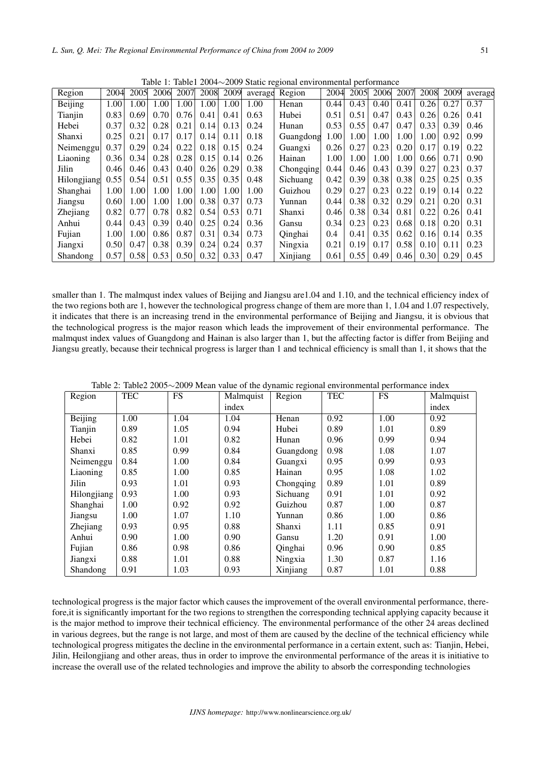| Table 1. Table1 2004 *2007 Static regional environmental performance |      |      |      |      |      |      |      |                |      |      |      |      |      |      |         |
|----------------------------------------------------------------------|------|------|------|------|------|------|------|----------------|------|------|------|------|------|------|---------|
| Region                                                               | 2004 | 2005 | 2006 | 2007 | 2008 | 2009 |      | average Region | 2004 | 2005 | 2006 | 2007 | 2008 | 2009 | average |
| Beijing                                                              | 1.00 | 1.00 | 1.00 | 1.00 | 1.00 | 1.00 | 1.00 | Henan          | 0.44 | 0.43 | 0.40 | 0.41 | 0.26 | 0.27 | 0.37    |
| Tianjin                                                              | 0.83 | 0.69 | 0.70 | 0.76 | 0.41 | 0.41 | 0.63 | Hubei          | 0.51 | 0.51 | 0.47 | 0.43 | 0.26 | 0.26 | 0.41    |
| Hebei                                                                | 0.37 | 0.32 | 0.28 | 0.21 | 0.14 | 0.13 | 0.24 | Hunan          | 0.53 | 0.55 | 0.47 | 0.47 | 0.33 | 0.39 | 0.46    |
| Shanxi                                                               | 0.25 | 0.21 | 0.17 | 0.17 | 0.14 | 0.11 | 0.18 | Guangdong      | 1.00 | 1.00 | 1.00 | 1.00 | 1.00 | 0.92 | 0.99    |
| Neimenggu                                                            | 0.37 | 0.29 | 0.24 | 0.22 | 0.18 | 0.15 | 0.24 | Guangxi        | 0.26 | 0.27 | 0.23 | 0.20 | 0.17 | 0.19 | 0.22    |
| Liaoning                                                             | 0.36 | 0.34 | 0.28 | 0.28 | 0.15 | 0.14 | 0.26 | Hainan         | 1.00 | 1.00 | 1.00 | 1.00 | 0.66 | 0.71 | 0.90    |
| Jilin                                                                | 0.46 | 0.46 | 0.43 | 0.40 | 0.26 | 0.29 | 0.38 | Chongqing      | 0.44 | 0.46 | 0.43 | 0.39 | 0.27 | 0.23 | 0.37    |
| Hilongjiang                                                          | 0.55 | 0.54 | 0.51 | 0.55 | 0.35 | 0.35 | 0.48 | Sichuang       | 0.42 | 0.39 | 0.38 | 0.38 | 0.25 | 0.25 | 0.35    |
| Shanghai                                                             | 1.00 | 1.00 | 1.00 | 1.00 | 1.00 | 1.00 | 1.00 | Guizhou        | 0.29 | 0.27 | 0.23 | 0.22 | 0.19 | 0.14 | 0.22    |
| Jiangsu                                                              | 0.60 | 1.00 | 1.00 | 1.00 | 0.38 | 0.37 | 0.73 | Yunnan         | 0.44 | 0.38 | 0.32 | 0.29 | 0.21 | 0.20 | 0.31    |
| Zhejiang                                                             | 0.82 | 0.77 | 0.78 | 0.82 | 0.54 | 0.53 | 0.71 | Shanxi         | 0.46 | 0.38 | 0.34 | 0.81 | 0.22 | 0.26 | 0.41    |
| Anhui                                                                | 0.44 | 0.43 | 0.39 | 0.40 | 0.25 | 0.24 | 0.36 | Gansu          | 0.34 | 0.23 | 0.23 | 0.68 | 0.18 | 0.20 | 0.31    |
| Fujian                                                               | 1.00 | 1.00 | 0.86 | 0.87 | 0.31 | 0.34 | 0.73 | Qinghai        | 0.4  | 0.41 | 0.35 | 0.62 | 0.16 | 0.14 | 0.35    |
| Jiangxi                                                              | 0.50 | 0.47 | 0.38 | 0.39 | 0.24 | 0.24 | 0.37 | Ningxia        | 0.21 | 0.19 | 0.17 | 0.58 | 0.10 | 0.11 | 0.23    |
| Shandong                                                             | 0.57 | 0.58 | 0.53 | 0.50 | 0.32 | 0.33 | 0.47 | Xinjiang       | 0.61 | 0.55 | 0.49 | 0.46 | 0.30 | 0.29 | 0.45    |

Table 1: Table1 2004*∼*2009 Static regional environmental performance

smaller than 1. The malmqust index values of Beijing and Jiangsu are 1.04 and 1.10, and the technical efficiency index of the two regions both are 1, however the technological progress change of them are more than 1, 1.04 and 1.07 respectively, it indicates that there is an increasing trend in the environmental performance of Beijing and Jiangsu, it is obvious that the technological progress is the major reason which leads the improvement of their environmental performance. The malmqust index values of Guangdong and Hainan is also larger than 1, but the affecting factor is differ from Beijing and Jiangsu greatly, because their technical progress is larger than 1 and technical efficiency is small than 1, it shows that the

| Region      | <b>TEC</b> | <b>FS</b> | Malmquist | Region    | <b>TEC</b> | <b>FS</b> | Malmquist |
|-------------|------------|-----------|-----------|-----------|------------|-----------|-----------|
|             |            |           | index     |           |            |           | index     |
| Beijing     | 1.00       | 1.04      | 1.04      | Henan     | 0.92       | 1.00      | 0.92      |
| Tianjin     | 0.89       | 1.05      | 0.94      | Hubei     | 0.89       | 1.01      | 0.89      |
| Hebei       | 0.82       | 1.01      | 0.82      | Hunan     | 0.96       | 0.99      | 0.94      |
| Shanxi      | 0.85       | 0.99      | 0.84      | Guangdong | 0.98       | 1.08      | 1.07      |
| Neimenggu   | 0.84       | 1.00      | 0.84      | Guangxi   | 0.95       | 0.99      | 0.93      |
| Liaoning    | 0.85       | 1.00      | 0.85      | Hainan    | 0.95       | 1.08      | 1.02      |
| Jilin       | 0.93       | 1.01      | 0.93      | Chongqing | 0.89       | 1.01      | 0.89      |
| Hilongjiang | 0.93       | 1.00      | 0.93      | Sichuang  | 0.91       | 1.01      | 0.92      |
| Shanghai    | 1.00       | 0.92      | 0.92      | Guizhou   | 0.87       | 1.00      | 0.87      |
| Jiangsu     | 1.00       | 1.07      | 1.10      | Yunnan    | 0.86       | 1.00      | 0.86      |
| Zhejiang    | 0.93       | 0.95      | 0.88      | Shanxi    | 1.11       | 0.85      | 0.91      |
| Anhui       | 0.90       | 1.00      | 0.90      | Gansu     | 1.20       | 0.91      | 1.00      |
| Fujian      | 0.86       | 0.98      | 0.86      | Qinghai   | 0.96       | 0.90      | 0.85      |
| Jiangxi     | 0.88       | 1.01      | 0.88      | Ningxia   | 1.30       | 0.87      | 1.16      |
| Shandong    | 0.91       | 1.03      | 0.93      | Xinjiang  | 0.87       | 1.01      | 0.88      |

Table 2: Table2 2005*∼*2009 Mean value of the dynamic regional environmental performance index

technological progress is the major factor which causes the improvement of the overall environmental performance, therefore,it is significantly important for the two regions to strengthen the corresponding technical applying capacity because it is the major method to improve their technical efficiency. The environmental performance of the other 24 areas declined in various degrees, but the range is not large, and most of them are caused by the decline of the technical efficiency while technological progress mitigates the decline in the environmental performance in a certain extent, such as: Tianjin, Hebei, Jilin, Heilongjiang and other areas, thus in order to improve the environmental performance of the areas it is initiative to increase the overall use of the related technologies and improve the ability to absorb the corresponding technologies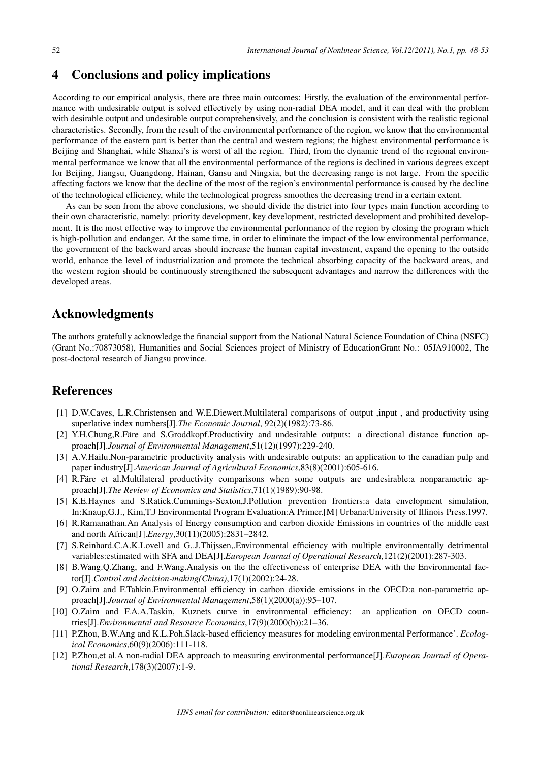### 4 Conclusions and policy implications

According to our empirical analysis, there are three main outcomes: Firstly, the evaluation of the environmental performance with undesirable output is solved effectively by using non-radial DEA model, and it can deal with the problem with desirable output and undesirable output comprehensively, and the conclusion is consistent with the realistic regional characteristics. Secondly, from the result of the environmental performance of the region, we know that the environmental performance of the eastern part is better than the central and western regions; the highest environmental performance is Beijing and Shanghai, while Shanxi's is worst of all the region. Third, from the dynamic trend of the regional environmental performance we know that all the environmental performance of the regions is declined in various degrees except for Beijing, Jiangsu, Guangdong, Hainan, Gansu and Ningxia, but the decreasing range is not large. From the specific affecting factors we know that the decline of the most of the region's environmental performance is caused by the decline of the technological efficiency, while the technological progress smoothes the decreasing trend in a certain extent.

As can be seen from the above conclusions, we should divide the district into four types main function according to their own characteristic, namely: priority development, key development, restricted development and prohibited development. It is the most effective way to improve the environmental performance of the region by closing the program which is high-pollution and endanger. At the same time, in order to eliminate the impact of the low environmental performance, the government of the backward areas should increase the human capital investment, expand the opening to the outside world, enhance the level of industrialization and promote the technical absorbing capacity of the backward areas, and the western region should be continuously strengthened the subsequent advantages and narrow the differences with the developed areas.

### Acknowledgments

The authors gratefully acknowledge the financial support from the National Natural Science Foundation of China (NSFC) (Grant No.:70873058), Humanities and Social Sciences project of Ministry of EducationGrant No.: 05JA910002, The post-doctoral research of Jiangsu province.

## **References**

- [1] D.W.Caves, L.R.Christensen and W.E.Diewert.Multilateral comparisons of output ,input , and productivity using superlative index numbers[J].*The Economic Journal*, 92(2)(1982):73-86.
- [2] Y.H.Chung,R.Fare and S.Groddkopf.Productivity and undesirable outputs: a directional distance function approach[J].*Journal of Environmental Management*,51(12)(1997):229-240.
- [3] A.V.Hailu.Non-parametric productivity analysis with undesirable outputs: an application to the canadian pulp and paper industry[J].*American Journal of Agricultural Economics*,83(8)(2001):605-616.
- [4] R.Fare et al.Multilateral productivity comparisons when some outputs are undesirable:a nonparametric approach[J].*The Review of Economics and Statistics*,71(1)(1989):90-98.
- [5] K.E.Haynes and S.Ratick.Cummings-Sexton,J.Pollution prevention frontiers:a data envelopment simulation, In:Knaup,G.J., Kim,T.J Environmental Program Evaluation:A Primer.[M] Urbana:University of Illinois Press.1997.
- [6] R.Ramanathan.An Analysis of Energy consumption and carbon dioxide Emissions in countries of the middle east and north African[J].*Energy*,30(11)(2005):2831–2842.
- [7] S.Reinhard.C.A.K.Lovell and G..J.Thijssen,.Environmental efficiency with multiple environmentally detrimental variables:estimated with SFA and DEA[J].*European Journal of Operational Research*,121(2)(2001):287-303.
- [8] B.Wang.Q.Zhang, and F.Wang.Analysis on the the effectiveness of enterprise DEA with the Environmental factor[J].*Control and decision-making(China)*,17(1)(2002):24-28.
- [9] O.Zaim and F.Tahkin.Environmental efficiency in carbon dioxide emissions in the OECD:a non-parametric approach[J].*Journal of Environmental Management*,58(1)(2000(a)):95–107.
- [10] O.Zaim and F.A.A.Taskin, Kuznets curve in environmental efficiency: an application on OECD countries[J].*Environmental and Resource Economics*,17(9)(2000(b)):21–36.
- [11] P.Zhou, B.W.Ang and K.L.Poh.Slack-based efficiency measures for modeling environmental Performance'. *Ecological Economics*,60(9)(2006):111-118.
- [12] P.Zhou,et al.A non-radial DEA approach to measuring environmental performance[J].*European Journal of Operational Research*,178(3)(2007):1-9.